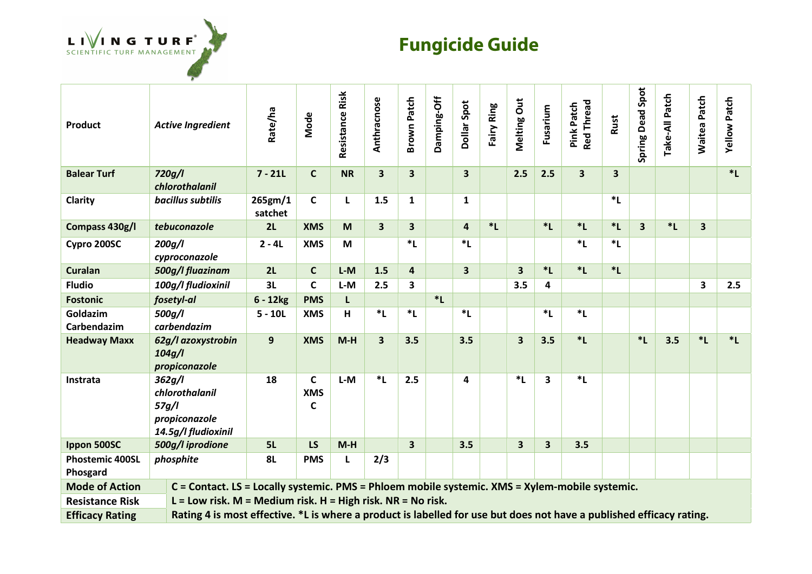

## **Fungicide Guide**

| Product                            | <b>Active Ingredient</b>                                                                                             | Rate/ha            | Mode                 | <b>Resistance Risk</b> | Anthracnose             | <b>Brown Patch</b>      | Damping-Off | <b>Dollar Spot</b>      | Fairy Ring | Melting Out             | Fusarium                | <b>Red Thread</b><br>Pink Patch | Rust    | <b>Spring Dead Spot</b> | Take-All Patch | <b>Waitea Patch</b> | <b>Yellow Patch</b> |
|------------------------------------|----------------------------------------------------------------------------------------------------------------------|--------------------|----------------------|------------------------|-------------------------|-------------------------|-------------|-------------------------|------------|-------------------------|-------------------------|---------------------------------|---------|-------------------------|----------------|---------------------|---------------------|
| <b>Balear Turf</b>                 | 720g/l<br>chlorothalanil                                                                                             | $7 - 21L$          | $\mathsf{C}$         | <b>NR</b>              | $\overline{\mathbf{3}}$ | 3                       |             | $\overline{\mathbf{3}}$ |            | 2.5                     | 2.5                     | $\overline{\mathbf{3}}$         | 3       |                         |                |                     | $*L$                |
| Clarity                            | bacillus subtilis                                                                                                    | 265gm/1<br>satchet | C                    | L                      | 1.5                     | $\mathbf{1}$            |             | $\mathbf{1}$            |            |                         |                         |                                 | *L      |                         |                |                     |                     |
| Compass 430g/l                     | tebuconazole                                                                                                         | 2L                 | <b>XMS</b>           | M                      | $\overline{\mathbf{3}}$ | $\overline{\mathbf{3}}$ |             | $\overline{\mathbf{4}}$ | $*L$       |                         | $*L$                    | $*L$                            | $*L$    | $\overline{\mathbf{3}}$ | $*L$           | 3                   |                     |
| Cypro 200SC                        | 200g/l<br>cyproconazole                                                                                              | $2 - 4L$           | <b>XMS</b>           | M                      |                         | $*_{L}$                 |             | $*_{L}$                 |            |                         |                         | $*L$                            | $*_{L}$ |                         |                |                     |                     |
| <b>Curalan</b>                     | 500g/l fluazinam                                                                                                     | 2L                 | $\mathsf{C}$         | $L-M$                  | 1.5                     | $\overline{\mathbf{4}}$ |             | $\overline{\mathbf{3}}$ |            | $\overline{\mathbf{3}}$ | $*L$                    | $*L$                            | $*L$    |                         |                |                     |                     |
| <b>Fludio</b>                      | 100g/l fludioxinil                                                                                                   | 3L                 | $\mathsf{C}$         | $L-M$                  | 2.5                     | 3                       |             |                         |            | 3.5                     | 4                       |                                 |         |                         |                | 3                   | 2.5                 |
| <b>Fostonic</b>                    | fosetyl-al                                                                                                           | $6 - 12kg$         | <b>PMS</b>           | L                      |                         |                         | $*_{L}$     |                         |            |                         |                         |                                 |         |                         |                |                     |                     |
| Goldazim<br>Carbendazim            | 500g/l<br>carbendazim                                                                                                | $5 - 10L$          | <b>XMS</b>           | н                      | $*L$                    | $*_{L}$                 |             | $*_{L}$                 |            |                         | $*L$                    | $*_{L}$                         |         |                         |                |                     |                     |
| <b>Headway Maxx</b>                | 62g/l azoxystrobin<br>104g/l<br>propiconazole                                                                        | 9                  | <b>XMS</b>           | $M-H$                  | $\overline{\mathbf{3}}$ | 3.5                     |             | 3.5                     |            | $\overline{\mathbf{3}}$ | 3.5                     | $*L$                            |         | $*L$                    | 3.5            | $*L$                | $*_{L}$             |
| Instrata                           | 362g/l<br>chlorothalanil<br>57g/l<br>propiconazole<br>14.5g/l fludioxinil                                            | 18                 | C<br><b>XMS</b><br>C | $L-M$                  | $*L$                    | 2.5                     |             | 4                       |            | $*L$                    | $\overline{\mathbf{3}}$ | $*L$                            |         |                         |                |                     |                     |
| Ippon 500SC                        | 500g/l iprodione                                                                                                     | 5L                 | LS                   | $M-H$                  |                         | $\overline{\mathbf{3}}$ |             | 3.5                     |            | $\overline{\mathbf{3}}$ | 3                       | 3.5                             |         |                         |                |                     |                     |
| <b>Phostemic 400SL</b><br>Phosgard | phosphite                                                                                                            | <b>8L</b>          | <b>PMS</b>           | L                      | 2/3                     |                         |             |                         |            |                         |                         |                                 |         |                         |                |                     |                     |
| <b>Mode of Action</b>              | C = Contact. LS = Locally systemic. PMS = Phloem mobile systemic. XMS = Xylem-mobile systemic.                       |                    |                      |                        |                         |                         |             |                         |            |                         |                         |                                 |         |                         |                |                     |                     |
| <b>Resistance Risk</b>             | $L =$ Low risk. M = Medium risk. H = High risk. NR = No risk.                                                        |                    |                      |                        |                         |                         |             |                         |            |                         |                         |                                 |         |                         |                |                     |                     |
| <b>Efficacy Rating</b>             | Rating 4 is most effective. *L is where a product is labelled for use but does not have a published efficacy rating. |                    |                      |                        |                         |                         |             |                         |            |                         |                         |                                 |         |                         |                |                     |                     |